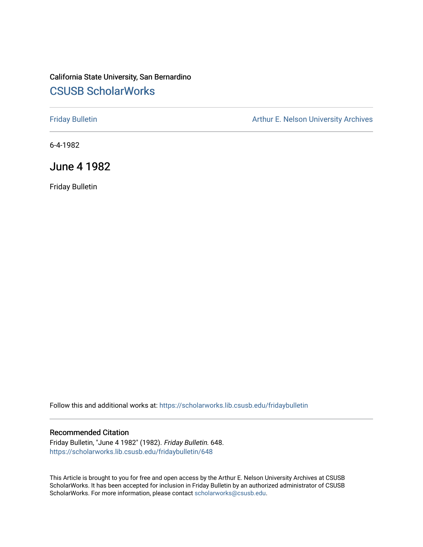# California State University, San Bernardino [CSUSB ScholarWorks](https://scholarworks.lib.csusb.edu/)

[Friday Bulletin](https://scholarworks.lib.csusb.edu/fridaybulletin) **Arthur E. Nelson University Archives** Arthur E. Nelson University Archives

6-4-1982

June 4 1982

Friday Bulletin

Follow this and additional works at: [https://scholarworks.lib.csusb.edu/fridaybulletin](https://scholarworks.lib.csusb.edu/fridaybulletin?utm_source=scholarworks.lib.csusb.edu%2Ffridaybulletin%2F648&utm_medium=PDF&utm_campaign=PDFCoverPages)

## Recommended Citation

Friday Bulletin, "June 4 1982" (1982). Friday Bulletin. 648. [https://scholarworks.lib.csusb.edu/fridaybulletin/648](https://scholarworks.lib.csusb.edu/fridaybulletin/648?utm_source=scholarworks.lib.csusb.edu%2Ffridaybulletin%2F648&utm_medium=PDF&utm_campaign=PDFCoverPages)

This Article is brought to you for free and open access by the Arthur E. Nelson University Archives at CSUSB ScholarWorks. It has been accepted for inclusion in Friday Bulletin by an authorized administrator of CSUSB ScholarWorks. For more information, please contact [scholarworks@csusb.edu.](mailto:scholarworks@csusb.edu)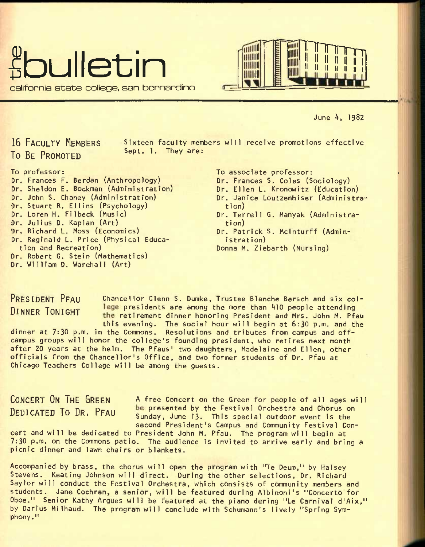



June 4, 1982

16 FACULTY MEMBERS To BE PROMOTED

Sixteen faculty members will receive promotions effective Sept. 1. They are:

## To professor:

Dr. Frances F. Berdan (Anthropology) Dr. Sheldon E. Bockman (Administration) Dr. John S. Chaney (Administration) Or, Stuart R. Ell ins (Psychology) Dr. Loren H. Filbeck (Music) Dr. Julius D. Kaplan (Art) Dr. Richard L. Moss (Economics) Dr. Reginald L. Price (Physical Education and Recreation) Dr. Robert G. Stein (Mathematics) Dr. William D. Warehall (Art)

To associate professor:

- Dr. Frances S. Coles (Sociology)
- Dr. Ellen L. Kronowitz (Education)
- Dr. Janice Loutzenhiser (Administration)
- Dr. Terrell G. Manyak (Administration)
- Dr. Patrick S. Mclnturff (Administration)
- Donna M. Ziebarth (Nursing)

PRESIDENT PFAU Chancellor Glenn S. Dumke, Trustee Blanche Bersch and six col-DINNER TONIGHT lege presidents are among the more than 410 people attending the retirement dinner honoring President and Mrs. John M. Pfau this evening. The social hour will begin at 6:30 p.m. and the dinner at 7:30 p.m. in the Commons. Resolutions and tributes from campus and offcampus groups will honor the college's founding president, who retires next month after 20 years at the helm. The Pfaus' two daughters, Madelaine and Ellen, other officials from the Chancellor's Office, and two former students of Dr. Pfau at Chicago Teachers College will be among the guests.

CONCERT ON THE GREEN A free Concert on the Green for people of all ages will DEDICATED TO DR. PFAU be presented by the Festival Orchestra and Chorus on Sunday, June 13. This special outdoor event is the second President's Campus and Community Festival Con-

cert and will be dedicated to President John M, Pfau. The program will begin at 7:30 p.m. on the Commons patio. The audience is invited to arrive early and bring a picnic dinner and lawn chairs or blankets.

Accompanied by brass, the chorus will open the program with "Te Deum," by Halsey Stevens. Keating Johnson will direct. During the other selections. Dr. Richard Saylor will conduct the Festival Orchestra, which consists of community members and students. Jane Cochran, a senior, will be featured during Albinoni's "Concerto for Oboe." Senior Kathy Argues will be featured at the piano during "Le Carnival d'Aix," by Darius Milhaud. The program will conclude with Schumann's lively "Spring Symphony."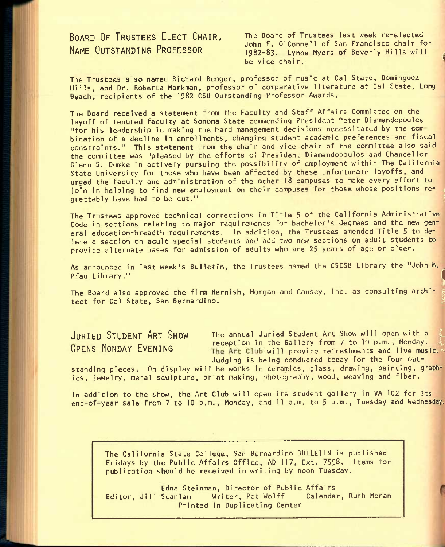NAME OUTSTANDING PROFESSOR 1982-83. Lynne<br>1982-83. Lynne Myers of Bevice chair.

BOARD OF TRUSTEES ELECT CHAIR, The Board of Trustees last week re-elected John F. O'Connell of San Francisco chair for 1982-83. Lynne Myers of Beverly Hills will

The Trustees also named Richard Bunger, professor of music at Cal State, Dominguez Hills, and Dr. Roberta Markman, professor of comparative literature at Cal State, Long Beach, recipients of the 1982 CSU Outstanding Professor Awards.

The Board received a statement from the Faculty and Staff Affairs Committee on the layoff of tenured faculty at Sonoma State commending President Peter Diamandopoulos "for his leadership in making the hard management decisions necessitated by the combination of a decline in enrollments, changing student academic preferences and fiscal constraints." This statement from the chair and vice chair of the committee also said the committee was "pleased by the efforts of President Diamandopoulos and Chancellor Glenn S. Dumke in actively pursuing the possibility of employment within The California State University for those who have been affected by these unfortunate layoffs, and urged the faculty and administration of the other 18 campuses to make every effort to join in helping to find new employment on their campuses for those whose positions regrettably have had to be cut."

The Trustees approved technical corrections in Title 5 of the California Administrative Code in sections relating to major requirements for bachelor's degrees and the new general education-breadth requirements. In addition, the Trustees amended Title 5 to delete a section on adult special students and add two new sections on adult students to provide alternate bases for admission of adults who are 25 years of age or older.

As announced in last week's Bulletin, the Trustees named the CSCSB Library the "John M. France a section on adult special students and add two new sections on adult students to<br>provide alternate bases for admission of adults who are 25 years of age or older.<br>As announced in last week's Bulletin, the Trustees As announced in last week's Bulletin, the Trustees named the CSCSB Library the "John M.<br>Pfau Library."<br>The Board also approved the firm Harnish, Morgan and Causey, Inc. as consulting archi-

The Board also approved the firm Harnish, Morgan and Causey, Inc. as consulting archi-<br>tect for Cal State, San Bernardino.

JURIED STUDENT ART SHOW The annual Juried Student Art Show will open with a **OUTLE CREEM:** THE CONSTRUCTION In the Gallery from 7 to 10 p.m., Monday.<br>OPENS MONDAY FVENING The Art Club will provide refreshments and live music. Judging is being conducted today for the four out-

;l

standing pieces. On display will be works in ceramics, glass, drawing, painting, graphics, jewelry, metal sculpture, print making, photography, wood, weaving and fiber.

In addition to the show, the Art Club will open its student gallery in VA 102 for its end-of-year sale from 7 to 10 p.m., Monday, and 11 a.m. to 5 p.m., Tuesday and Wednesday.

The California State College, San Bernardino BULLETIN is published Fridays by the Public Affairs Office, AD 117, Ext. 7558. Items for publication should be received in writing by noon Tuesday.

Edna Steinman, Director of Public Affairs Editor, Jill Scanlan Writer, Pat Wolff Calendar, Ruth Moran Printed in Duplicating Center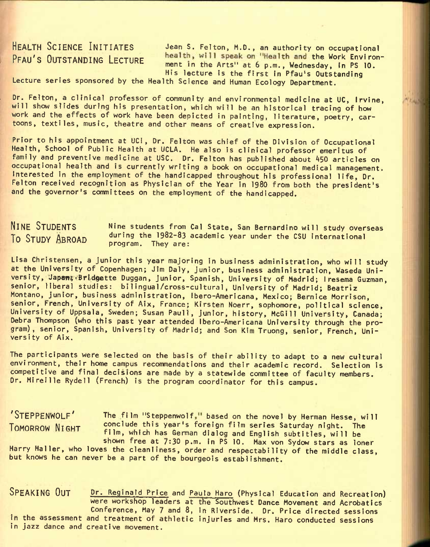HEALTH SCIENCE INITIATES Jean S. Felton, M.D., an authority on occupational PFAU'S OUTSTANDING LECTURE health, will speak on "Health and the Work Environment in the Arts" at 6 p.m., Wednesday, In PS 10. His lecture is the first in Pfau's Outstanding

Lecture series sponsored by the Health Science and Human Ecology Department.

Dr. Felton, a clinical professor of community and environmental medicine at UC, Irvine, will show slides during his presentation, which will be an historical tracing of how work and the effects of work have been depicted in painting, literature, poetry, cartoons, textiles, music, theatre and other means of creative expression.

Prior to his appointment at UCI, Dr. Felton was chief of the Division of Occupational Health, School of Public Health at UCLA. He also Is clinical professor emeritus of family and preventive medicine at USC. Dr. Felton has published about 450 articles on occupational health and Is currently writing a book on occupational medical management. Interested in the employment of the handicapped throughout his professional life, Dr. Felton received recognition as Physician of the Year in 1980 from both the president's and the governor's committees on the employment of the handicapped.

Nine students from Cal State, San Bernardino will study overseas during the 1902-83 academic year under the CSU international program. They are: NINE STUDENTS To STUDY ABROAD

Lisa Christensen, a junior this year majoring in business administration, who will study at the University of Copenhagen; Jim Daly, Junior, business administration, Waseda University, Japan; Bridgette Duggan, Junior, Spanish, University of Madrid; Iresema Guzman, senior, liberal studies: bilingual/cross-cultural, University of Madrid; Beatriz Montano, Junior, business administration, 1bero-Americana, Mexico; Bernice Morrison, senior, French, University of Aix, France; Kirsten Noerr, sophomore, political science, University of Uppsala, Sweden; Susan Paull, Junior, history, McGill University, Canada; Debra Thompson (who this past year attended Ibero-Americana University through the program), senior, Spanish, University of Madrid; and Son Kim Truong, senior, French, University of Aix.

The participants were selected on the basis of their ability to adapt to a new cultural environment, their home campus recommendations and their academic record. Selection is competitive and final decisions are made by a statewide committee of faculty members. Dr. Mireille Rydell (French) is the program coordinator for this campus.

'STEPPENWOLF' The film "Steppenwolf," based on the novel by Herman Hesse, will TOMORROW NIGHT conclude this year's foreign film series Saturday night. The film, which has German dialog and English subtitles, will be shown free at 7:30 p.m. in PS 10. Max von Sydow stars as loner Harry Haller, who loves the cleanliness, order and respectability of the middle class, but knows he can never be a part of the bourgeois establishment.

SPEAKING OUT Dr. Reginald Price and Paula Haro (Physical Education and Recreation) were workshop leaders at the Southwest Dance Movement and Acrobatics Conference, May 7 and 8, in Riverside. Dr. Price directed sessions in the assessment and treatment of athletic injuries and Mrs. Haro conducted sessions in Jazz dance and creative movement.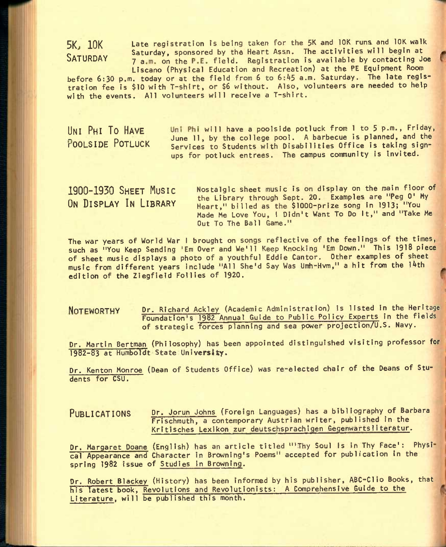5K, 10K Late registration is being taken for the 5K and 10K runs and 10K walk Saturday, sponsored by the Heart Assn. The activities will begin at<br>SATURDAY 7 10 10 1 the B Field Begistration is available by contacting Jo 7 a.m. on the P.E. field. Registration is available by contacting Joe Liscano (Physical Education and Recreation) at the PE Equipment Room

before 6:30 p.m. today or at the field from 6 to 6:45 a.m. Saturday. The late registration fee is \$10 with T-shirt, or \$6 without. Also, volunteers are needed to help with the events. All volunteers will receive a T-shirt.

UNI PHI TO HAVE Uni Phi will have a poolside potluck from 1 to 5 p.m., Friday, June 11, by the college pool. A barbecue is planned, and the<br>
POOLSIDE POTLUCK Services to Students with Disabilities Office is taking sign-Services to Students with Disabilities Office is taking signups for potluck entrees. The campus community is Invited.

1900~1930 SHEET MUSIC Nostalgic sheet music is on display on the main floor of The Library through Sept. 20. Examples are "Peg 0' My<br>
ON DISPLAY IN LIBRARY Heart " billed as the \$1000-prize song in 1913: "You Heart," billed as the \$1000-prize song in 1913; "You Made Me Love You, 1 Didn't Want To Do It," and "Take Me Out To The Ball Game."

The war years of World War I brought on songs reflective of the feelings of the times, such as "You Keep Sending 'Em Over and We'll Keep Knocking 'Em Down." This 1918 piece of sheet music displays a photo of a youthful Eddie Cantor. Other examples of sheet music from different years include "All She'd Say Was Umh-Hvm," a hit from the l4th edition of the Ziegfield Follies of 1920.

NOTEWORTHY Dr. Richard Ackley (Academic Administration) is listed in the Heritage Foundation's 1982 Annual Guide to Public Policy Experts in the fields of strategic forces' planning and sea power projection/U.S. Navy.

Dr. Martin Bertman (Philosophy) has been appointed distinguished visiting professor for 1982-83 at Humboldt State University.

Dr. Kenton Monroe (Dean of Students Office) was re-elected chair of the Deans of Students for CSU.

PUBLICATIONS Dr. Jorun Johns (Foreign Languages) has a bibliography of Barbara Frischmuth, a contemporary Austrian writer, published in the Kritisches Lexikon zur deutschsprachigen Gegenwarts1iteratur.

Dr. Margaret Doane (English) has an article titled "'Thy Soul Is in Thy Face': Physi cal Appearance and Character in Browning's Poems" accepted for publication in the spring 1982 issue of Studies in Browning.

Dr. Robert Blackey (History) has been informed by his publisher, ABC-Clio Books, that his latest book, Revolutions and Revolutionists; A Comprehensive Guide to the Literature, will be published this month.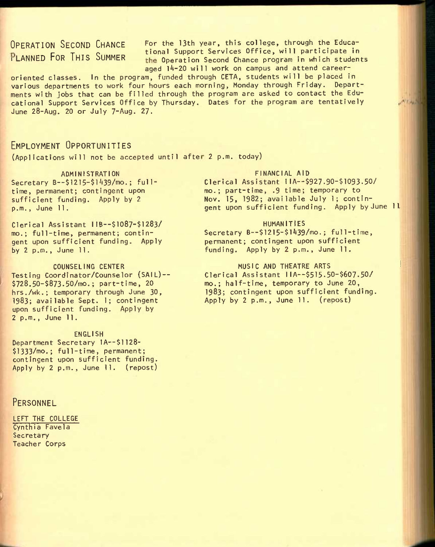OPERATION SECOND CHANCE FOR the 13th year, this college, through the Educa- **PLANNED FOR THIS SUMMER** tional Support Services Office, will participate in the Operation Second Chance program in which students aged 14-20 will work on campus and attend career-

oriented classes. In the program, funded through CETA, students will be placed in various departments to work four hours each morning, Monday through Friday. Departments with jobs that can be filled through the program are asked to contact the Educational Support Services Office by Thursday. Dates for the program are tentatively June 28-Aug. 20 or July 7-Aug. 27.

## EMPLOYMENT OPPORTUNITIES

(Applications will not be accepted until after 2 p.m. today)

ADMINISTRATION Secretary B--\$1215-\$1439/mo.; fulltime, permanent; contingent upon sufficient funding. Apply by 2 p.m., June 11,

Clerical Assistant IIB--\$1087-\$1283/ mo.; full-time, permanent; contingent upon sufficient funding. Apply by 2 p.m., June 11.

COUNSELING CENTER Testing Coordinator/Counselor (SAIL)--\$728.50-\$873.50/mo.; part-time, 20 hrs./wk.; temporary through June 30, 1983; available Sept. 1; contingent upon sufficient funding. Apply by 2 p.m., June 11.

ENGLISH Department Secretary 1A--\$1128-\$1333/fno.; full-time, permanent; contingent upon sufficient funding. Apply by 2 p.m., June 11. (repost)

## **PERSONNEL**

LEFT THE COLLEGE Cynthia Favela Secretary Teacher Corps

### FINANCIAL AID

Clerical Assistant 1IA--\$927.90-\$1093.50/ mo.; part-time, .9 time; temporary to Nov. 15, 1982; available July 1; contingent upon sufficient funding. Apply by June 11,

### HUMANITIES

Secretary B--\$1215-\$1439/mo.; full-time, permanent; contingent upon sufficient funding. Apply by 2 p.m., June 11.

## MUSIC AND THEATRE ARTS

Clerical Assistant 11A--\$515.50-\$607.50/ mo.; half-time, temporary to June 20, 1983; contingent upon sufficient funding. Apply by 2 p.m., June 11. (repost)